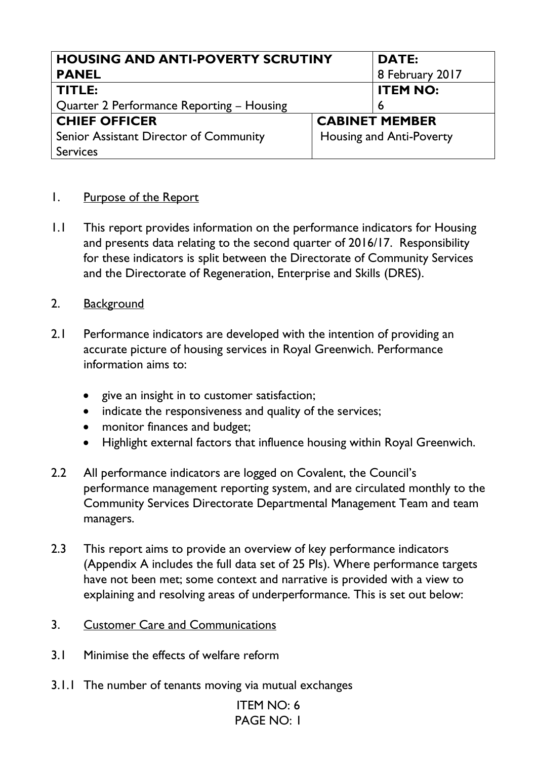| <b>HOUSING AND ANTI-POVERTY SCRUTINY</b>  |                                 | <b>DATE:</b>    |
|-------------------------------------------|---------------------------------|-----------------|
| <b>PANEL</b>                              |                                 | 8 February 2017 |
| TITLE:                                    |                                 | <b>ITEM NO:</b> |
| Quarter 2 Performance Reporting – Housing |                                 | 6               |
| <b>CHIEF OFFICER</b>                      | <b>CABINET MEMBER</b>           |                 |
| Senior Assistant Director of Community    | <b>Housing and Anti-Poverty</b> |                 |
| <b>Services</b>                           |                                 |                 |

## 1. Purpose of the Report

- 1.1 This report provides information on the performance indicators for Housing and presents data relating to the second quarter of 2016/17. Responsibility for these indicators is split between the Directorate of Community Services and the Directorate of Regeneration, Enterprise and Skills (DRES).
- 2. Background
- 2.1 Performance indicators are developed with the intention of providing an accurate picture of housing services in Royal Greenwich. Performance information aims to:
	- give an insight in to customer satisfaction;
	- indicate the responsiveness and quality of the services;
	- monitor finances and budget;
	- Highlight external factors that influence housing within Royal Greenwich.
- 2.2 All performance indicators are logged on Covalent, the Council's performance management reporting system, and are circulated monthly to the Community Services Directorate Departmental Management Team and team managers.
- 2.3 This report aims to provide an overview of key performance indicators (Appendix A includes the full data set of 25 PIs). Where performance targets have not been met; some context and narrative is provided with a view to explaining and resolving areas of underperformance. This is set out below:
- 3. Customer Care and Communications
- 3.1 Minimise the effects of welfare reform
- 3.1.1 The number of tenants moving via mutual exchanges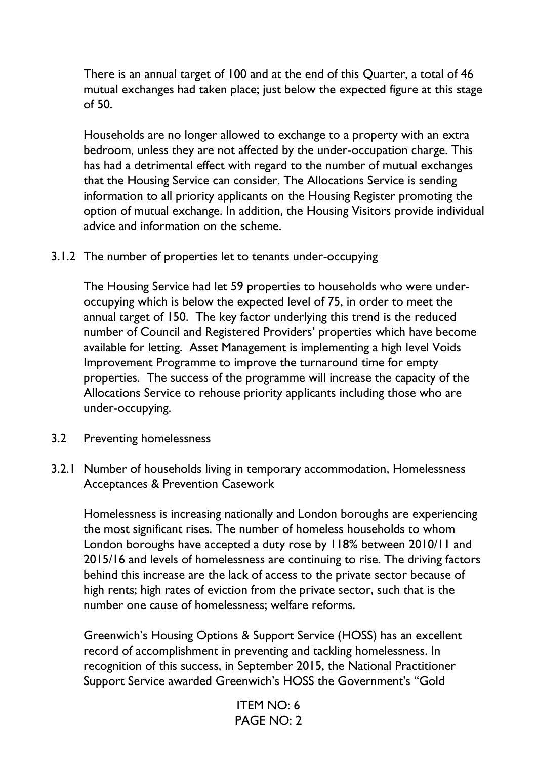There is an annual target of 100 and at the end of this Quarter, a total of 46 mutual exchanges had taken place; just below the expected figure at this stage of 50.

Households are no longer allowed to exchange to a property with an extra bedroom, unless they are not affected by the under-occupation charge. This has had a detrimental effect with regard to the number of mutual exchanges that the Housing Service can consider. The Allocations Service is sending information to all priority applicants on the Housing Register promoting the option of mutual exchange. In addition, the Housing Visitors provide individual advice and information on the scheme.

3.1.2 The number of properties let to tenants under-occupying

The Housing Service had let 59 properties to households who were underoccupying which is below the expected level of 75, in order to meet the annual target of 150. The key factor underlying this trend is the reduced number of Council and Registered Providers' properties which have become available for letting. Asset Management is implementing a high level Voids Improvement Programme to improve the turnaround time for empty properties. The success of the programme will increase the capacity of the Allocations Service to rehouse priority applicants including those who are under-occupying.

- 3.2 Preventing homelessness
- 3.2.1 Number of households living in temporary accommodation, Homelessness Acceptances & Prevention Casework

Homelessness is increasing nationally and London boroughs are experiencing the most significant rises. The number of homeless households to whom London boroughs have accepted a duty rose by 118% between 2010/11 and 2015/16 and levels of homelessness are continuing to rise. The driving factors behind this increase are the lack of access to the private sector because of high rents; high rates of eviction from the private sector, such that is the number one cause of homelessness; welfare reforms.

Greenwich's Housing Options & Support Service (HOSS) has an excellent record of accomplishment in preventing and tackling homelessness. In recognition of this success, in September 2015, the National Practitioner Support Service awarded Greenwich's HOSS the Government's "Gold

```
ITEM NO: 6
PAGE NO: 2
```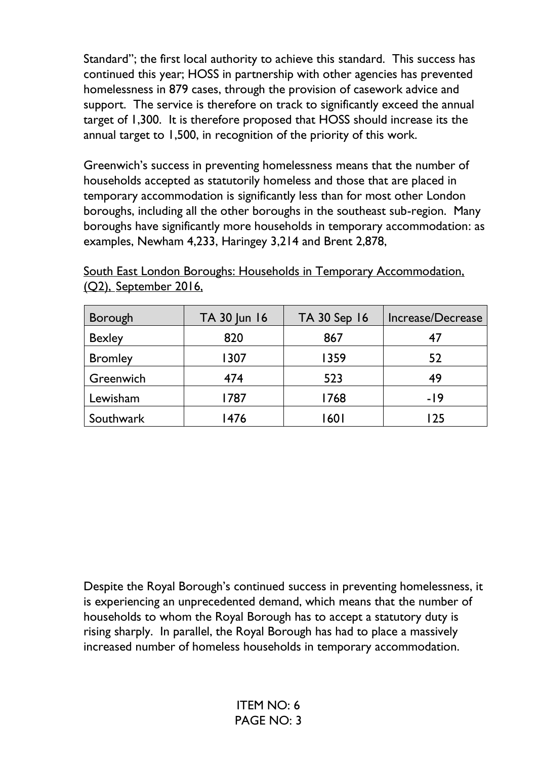Standard"; the first local authority to achieve this standard. This success has continued this year; HOSS in partnership with other agencies has prevented homelessness in 879 cases, through the provision of casework advice and support. The service is therefore on track to significantly exceed the annual target of 1,300. It is therefore proposed that HOSS should increase its the annual target to 1,500, in recognition of the priority of this work.

Greenwich's success in preventing homelessness means that the number of households accepted as statutorily homeless and those that are placed in temporary accommodation is significantly less than for most other London boroughs, including all the other boroughs in the southeast sub-region. Many boroughs have significantly more households in temporary accommodation: as examples, Newham 4,233, Haringey 3,214 and Brent 2,878,

| Borough        | TA 30 Jun 16 | TA 30 Sep 16 | Increase/Decrease |
|----------------|--------------|--------------|-------------------|
| <b>Bexley</b>  | 820          | 867          |                   |
| <b>Bromley</b> | 1307         | 1359         | 52                |
| Greenwich      | 474          | 523          | 49                |
| Lewisham       | 1787         | 1768         | -19               |
| Southwark      | 1476         | <b>601</b>   | l 75              |

South East London Boroughs: Households in Temporary Accommodation, (Q2), September 2016,

Despite the Royal Borough's continued success in preventing homelessness, it is experiencing an unprecedented demand, which means that the number of households to whom the Royal Borough has to accept a statutory duty is rising sharply. In parallel, the Royal Borough has had to place a massively increased number of homeless households in temporary accommodation.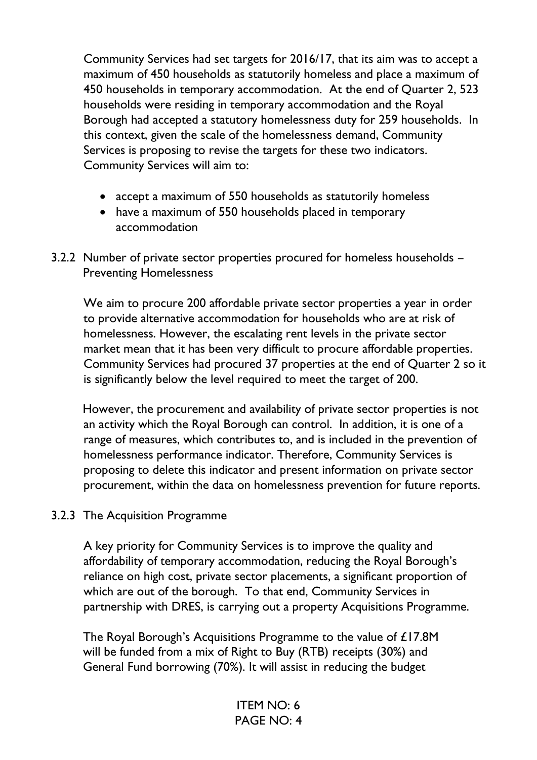Community Services had set targets for 2016/17, that its aim was to accept a maximum of 450 households as statutorily homeless and place a maximum of 450 households in temporary accommodation. At the end of Quarter 2, 523 households were residing in temporary accommodation and the Royal Borough had accepted a statutory homelessness duty for 259 households. In this context, given the scale of the homelessness demand, Community Services is proposing to revise the targets for these two indicators. Community Services will aim to:

- accept a maximum of 550 households as statutorily homeless
- have a maximum of 550 households placed in temporary accommodation
- 3.2.2 Number of private sector properties procured for homeless households Preventing Homelessness

We aim to procure 200 affordable private sector properties a year in order to provide alternative accommodation for households who are at risk of homelessness. However, the escalating rent levels in the private sector market mean that it has been very difficult to procure affordable properties. Community Services had procured 37 properties at the end of Quarter 2 so it is significantly below the level required to meet the target of 200.

 However, the procurement and availability of private sector properties is not an activity which the Royal Borough can control. In addition, it is one of a range of measures, which contributes to, and is included in the prevention of homelessness performance indicator. Therefore, Community Services is proposing to delete this indicator and present information on private sector procurement, within the data on homelessness prevention for future reports.

3.2.3 The Acquisition Programme

A key priority for Community Services is to improve the quality and affordability of temporary accommodation, reducing the Royal Borough's reliance on high cost, private sector placements, a significant proportion of which are out of the borough. To that end, Community Services in partnership with DRES, is carrying out a property Acquisitions Programme.

The Royal Borough's Acquisitions Programme to the value of £17.8M will be funded from a mix of Right to Buy (RTB) receipts (30%) and General Fund borrowing (70%). It will assist in reducing the budget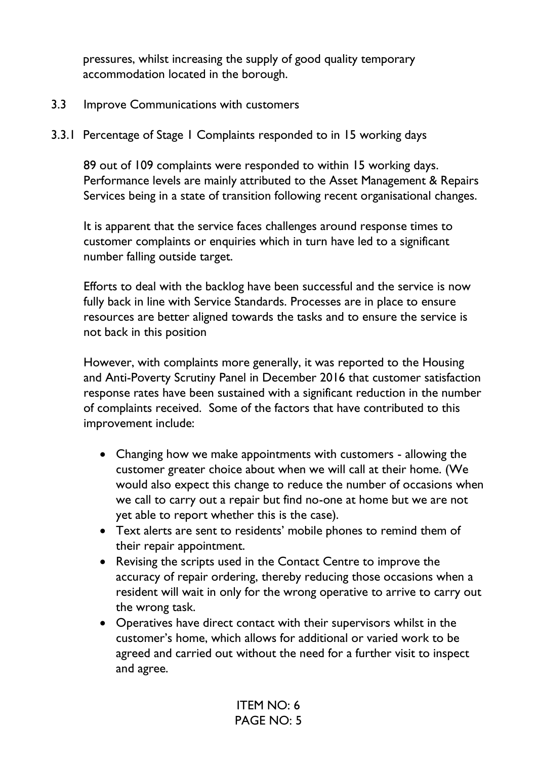pressures, whilst increasing the supply of good quality temporary accommodation located in the borough.

### 3.3 Improve Communications with customers

3.3.1 Percentage of Stage 1 Complaints responded to in 15 working days

89 out of 109 complaints were responded to within 15 working days. Performance levels are mainly attributed to the Asset Management & Repairs Services being in a state of transition following recent organisational changes.

It is apparent that the service faces challenges around response times to customer complaints or enquiries which in turn have led to a significant number falling outside target.

Efforts to deal with the backlog have been successful and the service is now fully back in line with Service Standards. Processes are in place to ensure resources are better aligned towards the tasks and to ensure the service is not back in this position

However, with complaints more generally, it was reported to the Housing and Anti-Poverty Scrutiny Panel in December 2016 that customer satisfaction response rates have been sustained with a significant reduction in the number of complaints received. Some of the factors that have contributed to this improvement include:

- Changing how we make appointments with customers allowing the customer greater choice about when we will call at their home. (We would also expect this change to reduce the number of occasions when we call to carry out a repair but find no-one at home but we are not yet able to report whether this is the case).
- Text alerts are sent to residents' mobile phones to remind them of their repair appointment.
- Revising the scripts used in the Contact Centre to improve the accuracy of repair ordering, thereby reducing those occasions when a resident will wait in only for the wrong operative to arrive to carry out the wrong task.
- Operatives have direct contact with their supervisors whilst in the customer's home, which allows for additional or varied work to be agreed and carried out without the need for a further visit to inspect and agree.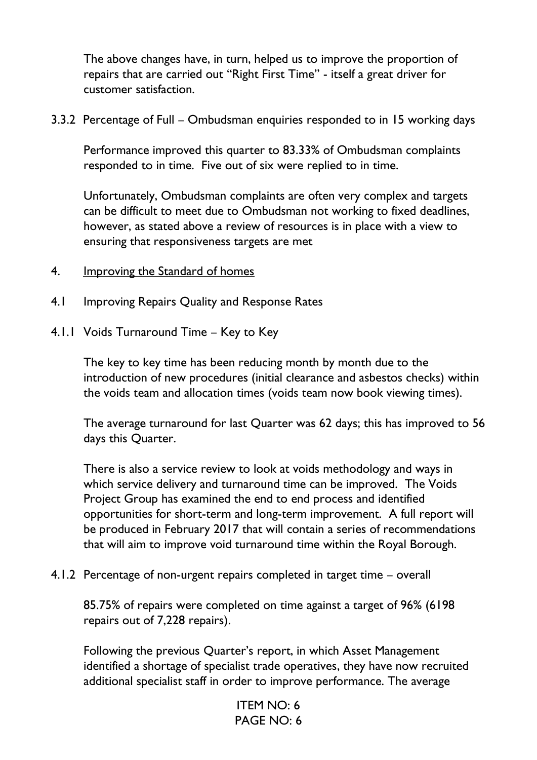The above changes have, in turn, helped us to improve the proportion of repairs that are carried out "Right First Time" - itself a great driver for customer satisfaction.

3.3.2 Percentage of Full – Ombudsman enquiries responded to in 15 working days

Performance improved this quarter to 83.33% of Ombudsman complaints responded to in time. Five out of six were replied to in time.

Unfortunately, Ombudsman complaints are often very complex and targets can be difficult to meet due to Ombudsman not working to fixed deadlines, however, as stated above a review of resources is in place with a view to ensuring that responsiveness targets are met

- 4. Improving the Standard of homes
- 4.1 Improving Repairs Quality and Response Rates
- 4.1.1 Voids Turnaround Time Key to Key

The key to key time has been reducing month by month due to the introduction of new procedures (initial clearance and asbestos checks) within the voids team and allocation times (voids team now book viewing times).

The average turnaround for last Quarter was 62 days; this has improved to 56 days this Quarter.

There is also a service review to look at voids methodology and ways in which service delivery and turnaround time can be improved. The Voids Project Group has examined the end to end process and identified opportunities for short-term and long-term improvement. A full report will be produced in February 2017 that will contain a series of recommendations that will aim to improve void turnaround time within the Royal Borough.

4.1.2 Percentage of non-urgent repairs completed in target time – overall

85.75% of repairs were completed on time against a target of 96% (6198 repairs out of 7,228 repairs).

Following the previous Quarter's report, in which Asset Management identified a shortage of specialist trade operatives, they have now recruited additional specialist staff in order to improve performance. The average

```
ITEM NO: 6
PAGE NO: 6
```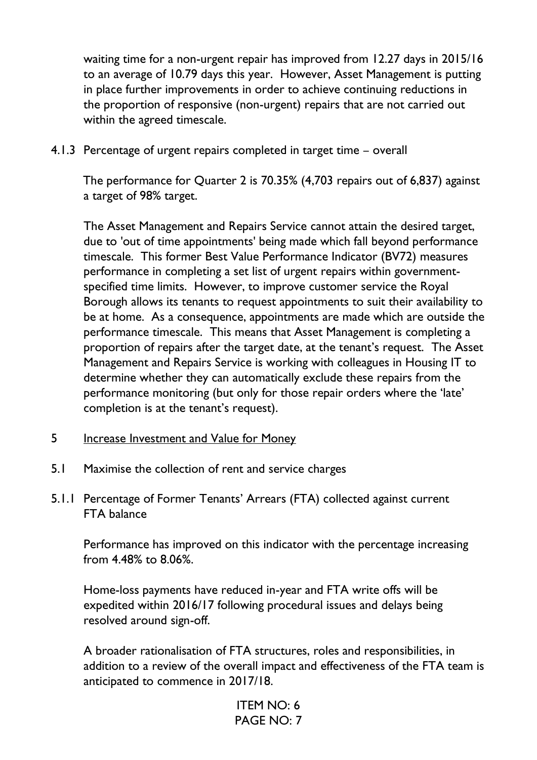waiting time for a non-urgent repair has improved from 12.27 days in 2015/16 to an average of 10.79 days this year. However, Asset Management is putting in place further improvements in order to achieve continuing reductions in the proportion of responsive (non-urgent) repairs that are not carried out within the agreed timescale.

4.1.3 Percentage of urgent repairs completed in target time – overall

The performance for Quarter 2 is 70.35% (4,703 repairs out of 6,837) against a target of 98% target.

The Asset Management and Repairs Service cannot attain the desired target, due to 'out of time appointments' being made which fall beyond performance timescale. This former Best Value Performance Indicator (BV72) measures performance in completing a set list of urgent repairs within governmentspecified time limits. However, to improve customer service the Royal Borough allows its tenants to request appointments to suit their availability to be at home. As a consequence, appointments are made which are outside the performance timescale. This means that Asset Management is completing a proportion of repairs after the target date, at the tenant's request. The Asset Management and Repairs Service is working with colleagues in Housing IT to determine whether they can automatically exclude these repairs from the performance monitoring (but only for those repair orders where the 'late' completion is at the tenant's request).

- 5 Increase Investment and Value for Money
- 5.1 Maximise the collection of rent and service charges
- 5.1.1 Percentage of Former Tenants' Arrears (FTA) collected against current FTA balance

Performance has improved on this indicator with the percentage increasing from 4.48% to 8.06%.

Home-loss payments have reduced in-year and FTA write offs will be expedited within 2016/17 following procedural issues and delays being resolved around sign-off.

A broader rationalisation of FTA structures, roles and responsibilities, in addition to a review of the overall impact and effectiveness of the FTA team is anticipated to commence in 2017/18.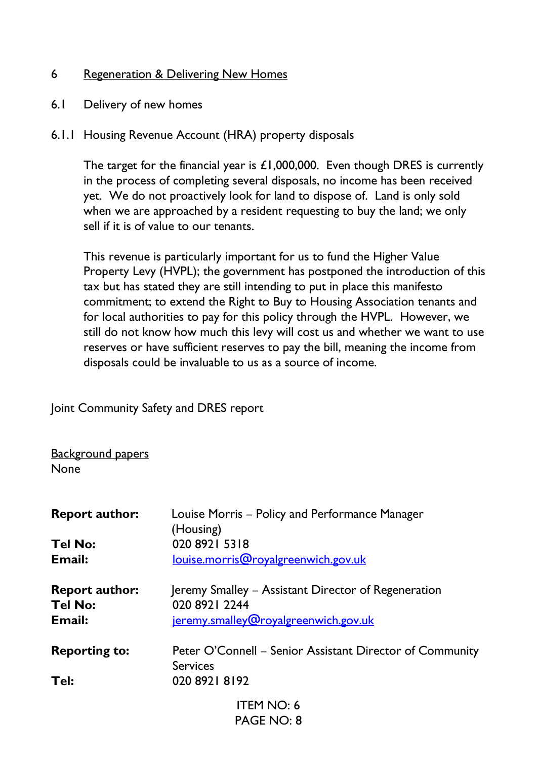### 6 Regeneration & Delivering New Homes

- 6.1 Delivery of new homes
- 6.1.1 Housing Revenue Account (HRA) property disposals

The target for the financial year is £1,000,000. Even though DRES is currently in the process of completing several disposals, no income has been received yet. We do not proactively look for land to dispose of. Land is only sold when we are approached by a resident requesting to buy the land; we only sell if it is of value to our tenants.

This revenue is particularly important for us to fund the Higher Value Property Levy (HVPL); the government has postponed the introduction of this tax but has stated they are still intending to put in place this manifesto commitment; to extend the Right to Buy to Housing Association tenants and for local authorities to pay for this policy through the HVPL. However, we still do not know how much this levy will cost us and whether we want to use reserves or have sufficient reserves to pay the bill, meaning the income from disposals could be invaluable to us as a source of income.

Joint Community Safety and DRES report

Background papers None

| <b>Report author:</b>                   | Louise Morris – Policy and Performance Manager<br>(Housing)                 |
|-----------------------------------------|-----------------------------------------------------------------------------|
| <b>Tel No:</b>                          | 020 8921 5318                                                               |
| Email:                                  | louise.morris@royalgreenwich.gov.uk                                         |
| <b>Report author:</b><br><b>Tel No:</b> | Jeremy Smalley – Assistant Director of Regeneration<br>020 8921 2244        |
| Email:                                  | jeremy.smalley@royalgreenwich.gov.uk                                        |
| <b>Reporting to:</b>                    | Peter O'Connell – Senior Assistant Director of Community<br><b>Services</b> |
| Tel:                                    | 020 8921 8192                                                               |
|                                         | <b>ITEM NO: 6</b>                                                           |
|                                         | PAGE NO: 8                                                                  |